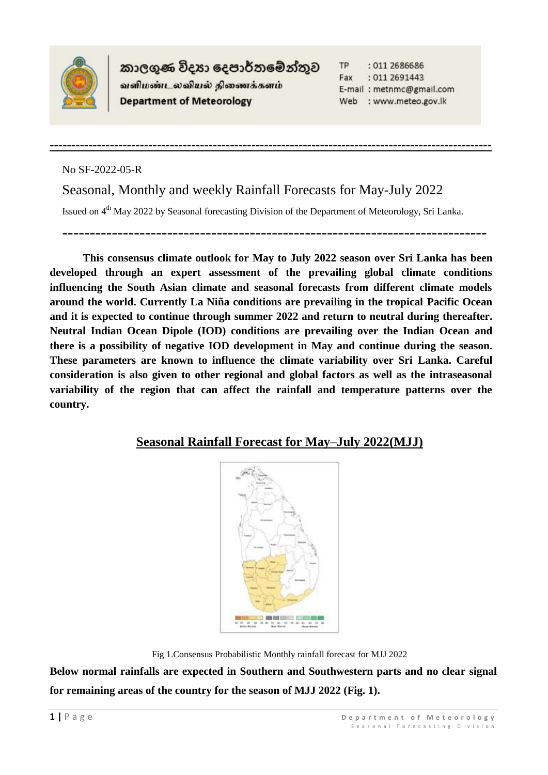

කාලගුණ විදහා දෙපාර්තමේන්තුව வளிமண்டலவியல் திணைக்களம் **Department of Meteorology** 

TP : 011 2686686 Fax : 011 2691443 E-mail: metnmc@gmail.com Web : www.meteo.gov.lk

No SF-2022-05-R

Seasonal, Monthly and weekly Rainfall Forecasts for May-July 2022

Issued on 4<sup>th</sup> May 2022 by Seasonal forecasting Division of the Department of Meteorology, Sri Lanka.

-----------------------------------------------------------------------------

**-------------------------------------------------------------------------------------------------------**

**This consensus climate outlook for May to July 2022 season over Sri Lanka has been developed through an expert assessment of the prevailing global climate conditions influencing the South Asian climate and seasonal forecasts from different climate models around the world. Currently La Niña conditions are prevailing in the tropical Pacific Ocean and it is expected to continue through summer 2022 and return to neutral during thereafter. Neutral Indian Ocean Dipole (IOD) conditions are prevailing over the Indian Ocean and there is a possibility of negative IOD development in May and continue during the season. These parameters are known to influence the climate variability over Sri Lanka. Careful consideration is also given to other regional and global factors as well as the intraseasonal variability of the region that can affect the rainfall and temperature patterns over the country.** 

## **Seasonal Rainfall Forecast for May–July 2022(MJJ)**



Fig 1.Consensus Probabilistic Monthly rainfall forecast for MJJ 2022

**Below normal rainfalls are expected in Southern and Southwestern parts and no clear signal for remaining areas of the country for the season of MJJ 2022 (Fig. 1).**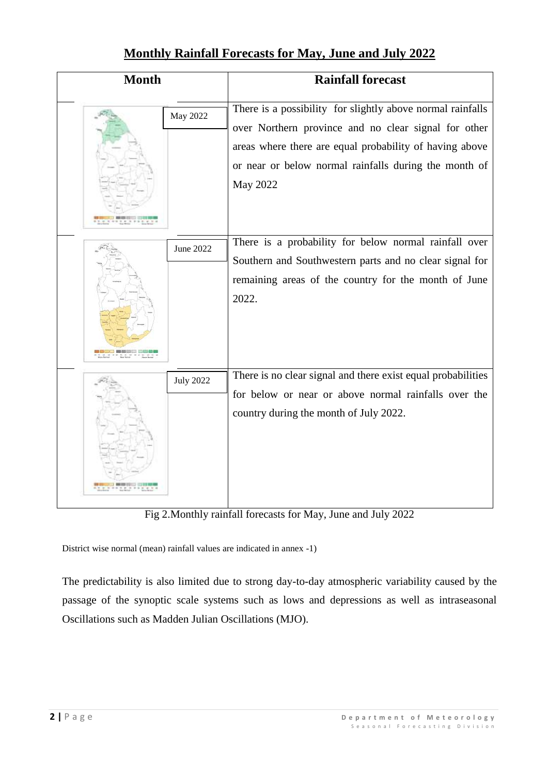| <b>Month</b> |                       | <b>Rainfall forecast</b>                                                                                                                                                                                                                                                                                                                                                                                                                |  |
|--------------|-----------------------|-----------------------------------------------------------------------------------------------------------------------------------------------------------------------------------------------------------------------------------------------------------------------------------------------------------------------------------------------------------------------------------------------------------------------------------------|--|
|              | May 2022<br>June 2022 | There is a possibility for slightly above normal rainfalls<br>over Northern province and no clear signal for other<br>areas where there are equal probability of having above<br>or near or below normal rainfalls during the month of<br>May 2022<br>There is a probability for below normal rainfall over<br>Southern and Southwestern parts and no clear signal for<br>remaining areas of the country for the month of June<br>2022. |  |
|              | <b>July 2022</b>      | There is no clear signal and there exist equal probabilities<br>for below or near or above normal rainfalls over the<br>country during the month of July 2022.                                                                                                                                                                                                                                                                          |  |

## **Monthly Rainfall Forecasts for May, June and July 2022**

Fig 2.Monthly rainfall forecasts for May, June and July 2022

District wise normal (mean) rainfall values are indicated in annex -1)

The predictability is also limited due to strong day-to-day atmospheric variability caused by the passage of the synoptic scale systems such as lows and depressions as well as intraseasonal Oscillations such as Madden Julian Oscillations (MJO).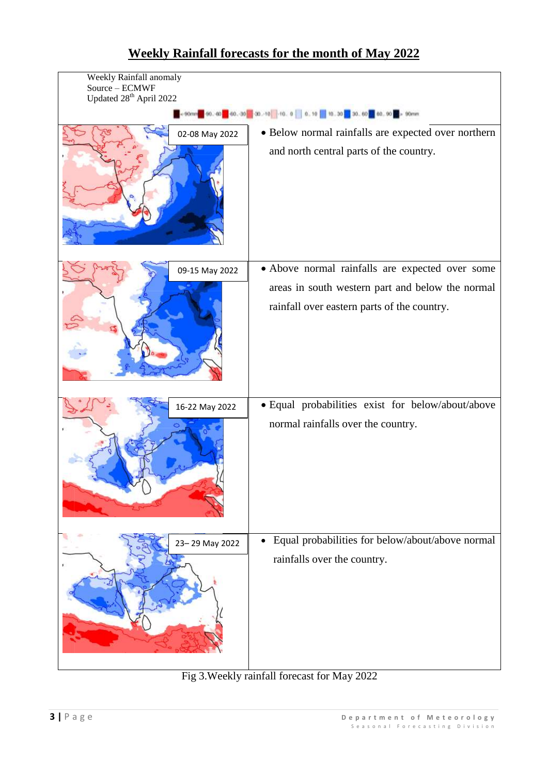# **Weekly Rainfall forecasts for the month of May 2022**

| Weekly Rainfall anomaly<br>Source - ECMWF<br>Updated 28 <sup>th</sup> April 2022<br>-00mm 00.00 00.00 00.00 00.00 10.0 00.00 0.10 0.00 00.00 00.00 00.00 00 |                                                                                                                                                    |  |  |  |  |
|-------------------------------------------------------------------------------------------------------------------------------------------------------------|----------------------------------------------------------------------------------------------------------------------------------------------------|--|--|--|--|
| 02-08 May 2022                                                                                                                                              | · Below normal rainfalls are expected over northern<br>and north central parts of the country.                                                     |  |  |  |  |
| 09-15 May 2022                                                                                                                                              | · Above normal rainfalls are expected over some<br>areas in south western part and below the normal<br>rainfall over eastern parts of the country. |  |  |  |  |
| 16-22 May 2022                                                                                                                                              | · Equal probabilities exist for below/about/above<br>normal rainfalls over the country.                                                            |  |  |  |  |
| 23-29 May 2022                                                                                                                                              | Equal probabilities for below/about/above normal<br>rainfalls over the country.                                                                    |  |  |  |  |

Fig 3.Weekly rainfall forecast for May 2022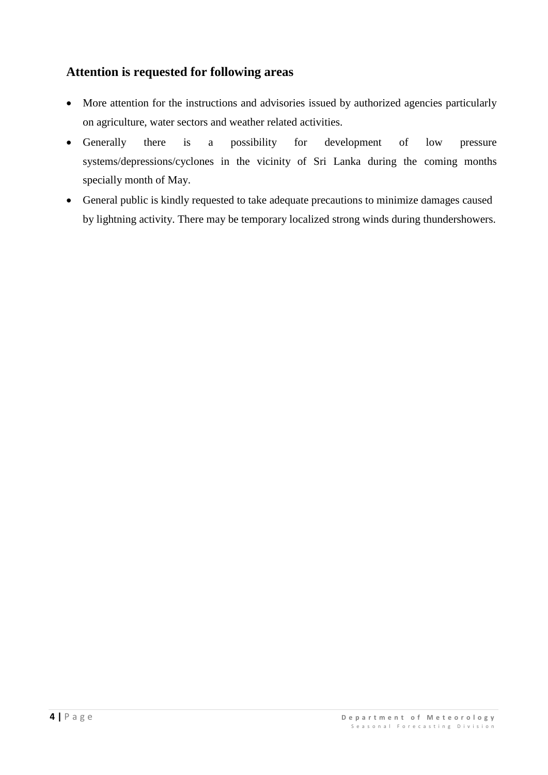## **Attention is requested for following areas**

- More attention for the instructions and advisories issued by authorized agencies particularly on agriculture, water sectors and weather related activities.
- Generally there is a possibility for development of low pressure systems/depressions/cyclones in the vicinity of Sri Lanka during the coming months specially month of May.
- General public is kindly requested to take adequate precautions to minimize damages caused by lightning activity. There may be temporary localized strong winds during thundershowers.